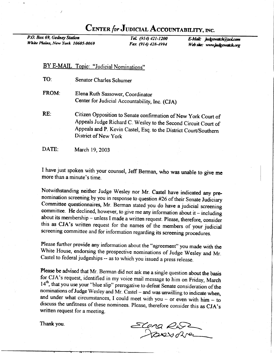## CENTER for JUDICIAL ACCOUNTABILITY, INC.

P.O. Box 69, Gedney Station White Plains, New York 10605-0069

Tel. (914) 421-1200 Fax (914) 428-4994

E-Mail: judgewatch@aol.com Web site: www.judgewatch.org

## BY E-MAIL Topic: "Judicial Nominations"

- TO: Senator Charles Schumer
- FROM: Elena Ruth Sassower, Coordinator Center for Judicial Accountability, Inc. (CJA)
- RE: citizen opposition to Senate confirmation of New york court of Appeals Judge Richard C. Wesley to the Second Circuit Court of Appeals and P. Kevin castel, Esq. to the District court/southern District of New York
- DATE: March 19, 2003

I have just spoken with your counsel, Jeff Berman, who was unable to give me more than a minute's time.

Notwithstanding neither Judge Wesley nor Mr. Castel have indicated any prenomination screening by you in response to question #26 of their Senate Judiciary Committee questionnaires, Mr. Berman stated you do have a judicial screening committee. He declined, however, to give me any information about it - including about its membership - unless I made a written request. Please, therefore, consider this as CJA's written request for the names of the members of your judicial screening committee and for information regarding its screening procedures.

Please further provide any information about the "agreement" you made with the White House, endorsing the prospective nominations of Judge Wesley and Mr. Castel to federal judgeships -- as to which you issued a press relea

**Please be advised that Mr**. Berman did not ask me a single question about the basis for CJA's request, identified in my voice mail message to him on Friday, March 14<sup>th</sup>, that you use your "blue slip" prerogative to defe

Thank you.  $Sena &$  $\sim$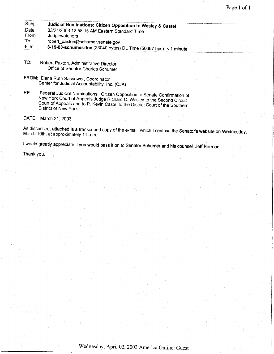| Subj:  |                                                                   |  |
|--------|-------------------------------------------------------------------|--|
|        | Judicial Nominations: Citizen Opposition to Wesley & Castel       |  |
| Date:  | 03/21/2003 12:58:15 AM Eastern Standard Time                      |  |
| From:  | Judgewatchers                                                     |  |
| To∶    | robert_paxton@schumer.senate.gov                                  |  |
| ∶File: | 3-19-03-schumer.doc (23040 bytes) DL Time (50667 bps): < 1 minute |  |

- TO: Robert paxton, Administrative Director Office of Senator Charles Schumer
- FROM: Elena Ruth Sassower, Coordinator Center for Judicial Accountability, Inc. (CJA)
- RE: Federal Judicial Nominations: Citizen Opposition to Senate Confirmation of New York Court of Appeals Judge Richard C. Wesley to the Second Circuit Court of Appeals and to P. Kevin Castel to the District Court of the Southern District of New York

DATE: March 21,2OOg

As discussed, attached is a transcribed copy of the e-mail, which I sent *via* the Senato**r's w**ebsite on **Wednesday**,<br>March 19th, at approximately 11 a.m.

I would greatly appreciate if you would pass it on to Senator Schumer and his counsel, Jefr Berman.

Thank you.